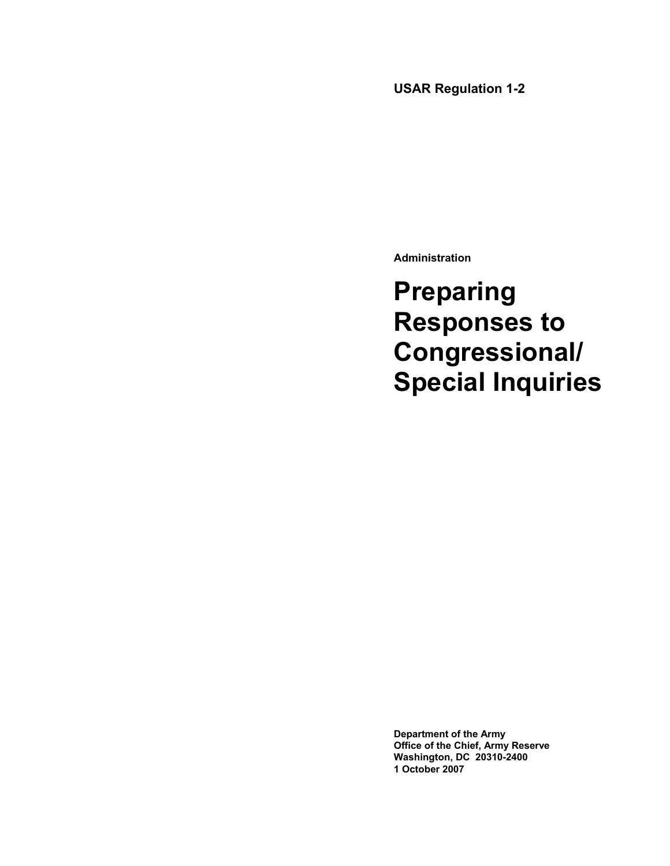# **USAR Regulation 1-2**

**Administration** 

**Preparing Responses to Congressional/ Special Inquiries** 

**Department of the Army Office of the Chief, Army Reserve Washington, DC 20310-2400 1 October 2007**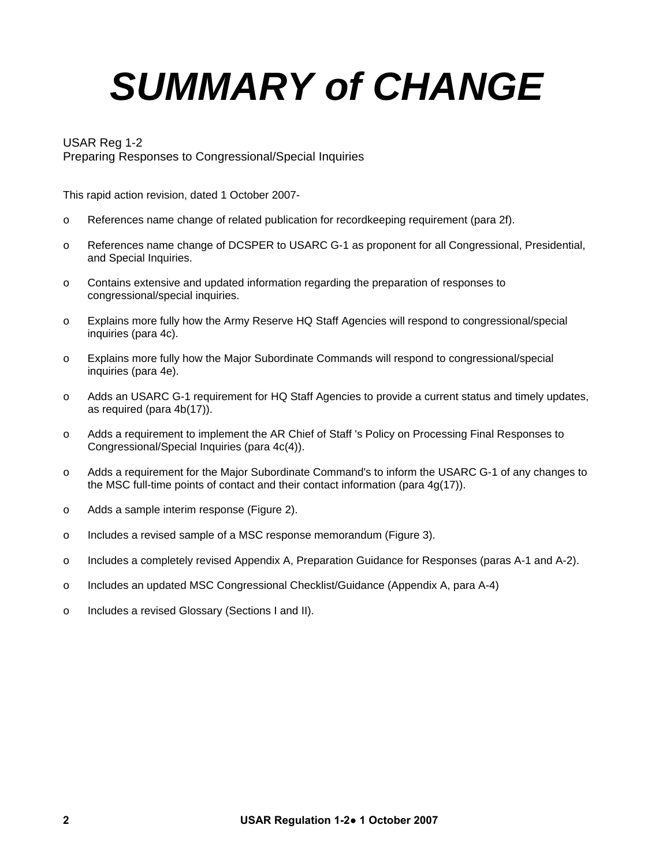# *SUMMARY of CHANGE*

# USAR Reg 1-2

Preparing Responses to Congressional/Special Inquiries

This rapid action revision, dated 1 October 2007-

- o References name change of related publication for recordkeeping requirement (para 2f).
- o References name change of DCSPER to USARC G-1 as proponent for all Congressional, Presidential, and Special Inquiries.
- o Contains extensive and updated information regarding the preparation of responses to congressional/special inquiries.
- o Explains more fully how the Army Reserve HQ Staff Agencies will respond to congressional/special inquiries (para 4c).
- o Explains more fully how the Major Subordinate Commands will respond to congressional/special inquiries (para 4e).
- o Adds an USARC G-1 requirement for HQ Staff Agencies to provide a current status and timely updates, as required (para 4b(17)).
- o Adds a requirement to implement the AR Chief of Staff 's Policy on Processing Final Responses to Congressional/Special Inquiries (para 4c(4)).
- o Adds a requirement for the Major Subordinate Command's to inform the USARC G-1 of any changes to the MSC full-time points of contact and their contact information (para 4g(17)).
- o Adds a sample interim response (Figure 2).
- o Includes a revised sample of a MSC response memorandum (Figure 3).
- o Includes a completely revised Appendix A, Preparation Guidance for Responses (paras A-1 and A-2).
- o Includes an updated MSC Congressional Checklist/Guidance (Appendix A, para A-4)
- o Includes a revised Glossary (Sections I and II).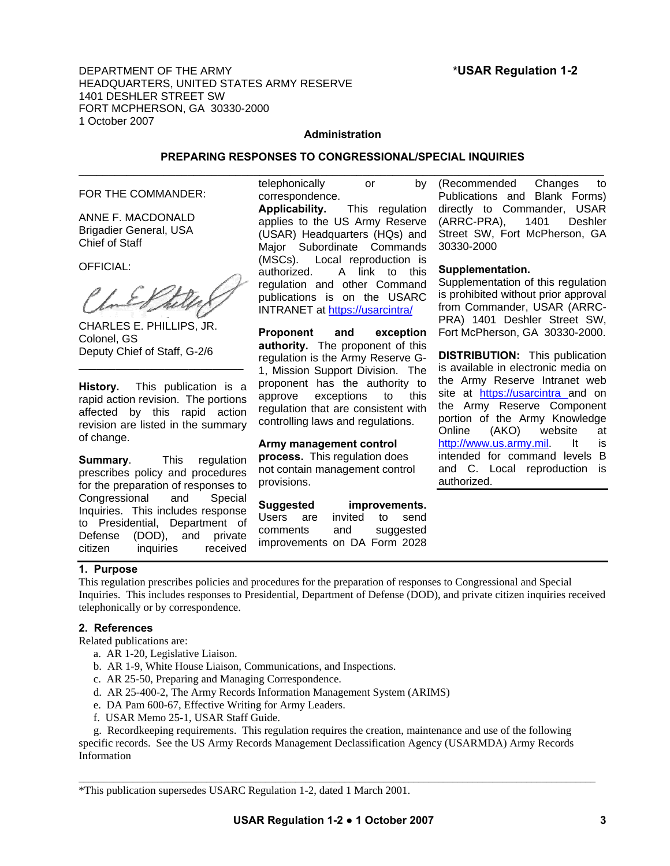DEPARTMENT OF THE ARMY \***USAR Regulation 1-2** HEADQUARTERS, UNITED STATES ARMY RESERVE 1401 DESHLER STREET SW FORT MCPHERSON, GA 30330-2000 1 October 2007

# **Administration**

# **PREPARING RESPONSES TO CONGRESSIONAL/SPECIAL INQUIRIES**

#### FOR THE COMMANDER:

ANNE F. MACDONALD Brigadier General, USA Chief of Staff

OFFICIAL:

CHARLES E. PHILLIPS, JR. Colonel, GS Deputy Chief of Staff, G-2/6

**History.** This publication is a rapid action revision. The portions affected by this rapid action revision are listed in the summary of change.

**\_\_\_\_\_\_\_\_\_\_\_\_\_\_\_\_\_\_\_\_\_\_\_\_\_\_\_** 

**Summary**. This regulation prescribes policy and procedures for the preparation of responses to Congressional and Special Inquiries. This includes response to Presidential, Department of Defense (DOD), and private citizen inquiries received

# telephonically or by correspondence.

**Applicability.** This regulation applies to the US Army Reserve (USAR) Headquarters (HQs) and Major Subordinate Commands (MSCs). Local reproduction is authorized. A link to this regulation and other Command publications is on the USARC INTRANET at<https://usarcintra/>

**Proponent and exception authority.** The proponent of this regulation is the Army Reserve G-1, Mission Support Division. The proponent has the authority to approve exceptions to this regulation that are consistent with controlling laws and regulations.

#### **Army management control**

**process.** This regulation does not contain management control provisions.

**Suggested improvements.** Users are invited to send comments and suggested improvements on DA Form 2028

**\_\_\_\_\_\_\_\_\_\_\_\_\_\_\_\_\_\_\_\_\_\_\_\_\_\_\_\_\_\_\_\_\_\_\_\_\_\_\_\_\_\_\_\_\_\_\_\_\_\_\_\_\_\_\_\_\_\_\_\_\_\_\_\_\_\_\_\_\_\_\_\_\_\_\_\_\_\_\_\_\_\_\_\_\_\_\_** (Recommended Changes to Publications and Blank Forms) directly to Commander, USAR (ARRC-PRA), 1401 Deshler Street SW, Fort McPherson, GA 30330-2000

#### **Supplementation.**

Supplementation of this regulation is prohibited without prior approval from Commander, USAR (ARRC-PRA) 1401 Deshler Street SW, Fort McPherson, GA 30330-2000.

**DISTRIBUTION:** This publication is available in electronic media on the Army Reserve Intranet web site at [https://usarcintra](https://usarcintra/) and on the Army Reserve Component portion of the Army Knowledge Online (AKO) website at [http://www.us.army.mil](http://www.us.army.mil/). It is intended for command levels B and C. Local reproduction is authorized.

#### **1. Purpose**

This regulation prescribes policies and procedures for the preparation of responses to Congressional and Special Inquiries. This includes responses to Presidential, Department of Defense (DOD), and private citizen inquiries received telephonically or by correspondence.

# **2. References**

Related publications are:

- a. AR 1-20, Legislative Liaison.
- b. AR 1-9, White House Liaison, Communications, and Inspections.
- c. AR 25-50, Preparing and Managing Correspondence.
- d. AR 25-400-2, The Army Records Information Management System (ARIMS)
- e. DA Pam 600-67, Effective Writing for Army Leaders.
- f. USAR Memo 25-1, USAR Staff Guide.

 g. Recordkeeping requirements. This regulation requires the creation, maintenance and use of the following specific records. See the US Army Records Management Declassification Agency (USARMDA) Army Records Information

\*This publication supersedes USARC Regulation 1-2, dated 1 March 2001.

 $\_$  ,  $\_$  ,  $\_$  ,  $\_$  ,  $\_$  ,  $\_$  ,  $\_$  ,  $\_$  ,  $\_$  ,  $\_$  ,  $\_$  ,  $\_$  ,  $\_$  ,  $\_$  ,  $\_$  ,  $\_$  ,  $\_$  ,  $\_$  ,  $\_$  ,  $\_$  ,  $\_$  ,  $\_$  ,  $\_$  ,  $\_$  ,  $\_$  ,  $\_$  ,  $\_$  ,  $\_$  ,  $\_$  ,  $\_$  ,  $\_$  ,  $\_$  ,  $\_$  ,  $\_$  ,  $\_$  ,  $\_$  ,  $\_$  ,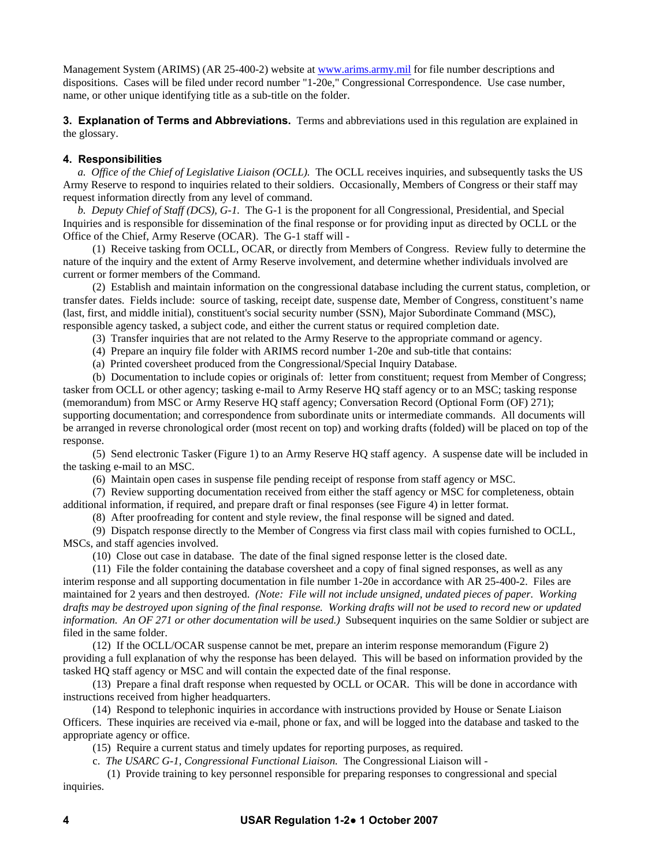Management System (ARIMS) (AR 25-400-2) website at [www.arims.army.mil](http://www.arims.army.mil/) for file number descriptions and dispositions. Cases will be filed under record number "1-20e," Congressional Correspondence. Use case number, name, or other unique identifying title as a sub-title on the folder.

**3. Explanation of Terms and Abbreviations.** Terms and abbreviations used in this regulation are explained in the glossary.

# **4. Responsibilities**

 *a. Office of the Chief of Legislative Liaison (OCLL).* The OCLL receives inquiries, and subsequently tasks the US Army Reserve to respond to inquiries related to their soldiers. Occasionally, Members of Congress or their staff may request information directly from any level of command.

 *b. Deputy Chief of Staff (DCS), G-1.* The G-1 is the proponent for all Congressional, Presidential, and Special Inquiries and is responsible for dissemination of the final response or for providing input as directed by OCLL or the Office of the Chief, Army Reserve (OCAR). The G-1 staff will -

 (1) Receive tasking from OCLL, OCAR, or directly from Members of Congress. Review fully to determine the nature of the inquiry and the extent of Army Reserve involvement, and determine whether individuals involved are current or former members of the Command.

 (2) Establish and maintain information on the congressional database including the current status, completion, or transfer dates. Fields include: source of tasking, receipt date, suspense date, Member of Congress, constituent's name (last, first, and middle initial), constituent's social security number (SSN), Major Subordinate Command (MSC), responsible agency tasked, a subject code, and either the current status or required completion date.

(3) Transfer inquiries that are not related to the Army Reserve to the appropriate command or agency.

(4) Prepare an inquiry file folder with ARIMS record number 1-20e and sub-title that contains:

(a) Printed coversheet produced from the Congressional/Special Inquiry Database.

 (b) Documentation to include copies or originals of: letter from constituent; request from Member of Congress; tasker from OCLL or other agency; tasking e-mail to Army Reserve HQ staff agency or to an MSC; tasking response (memorandum) from MSC or Army Reserve HQ staff agency; Conversation Record (Optional Form (OF) 271); supporting documentation; and correspondence from subordinate units or intermediate commands. All documents will be arranged in reverse chronological order (most recent on top) and working drafts (folded) will be placed on top of the response.

 (5) Send electronic Tasker (Figure 1) to an Army Reserve HQ staff agency. A suspense date will be included in the tasking e-mail to an MSC.

(6) Maintain open cases in suspense file pending receipt of response from staff agency or MSC.

(7) Review supporting documentation received from either the staff agency or MSC for completeness, obtain

additional information, if required, and prepare draft or final responses (see Figure 4) in letter format. (8) After proofreading for content and style review, the final response will be signed and dated.

(9) Dispatch response directly to the Member of Congress via first class mail with copies furnished to OCLL,

MSCs, and staff agencies involved.

(10) Close out case in database. The date of the final signed response letter is the closed date.

 (11) File the folder containing the database coversheet and a copy of final signed responses, as well as any interim response and all supporting documentation in file number 1-20e in accordance with AR 25-400-2. Files are maintained for 2 years and then destroyed. *(Note: File will not include unsigned, undated pieces of paper. Working drafts may be destroyed upon signing of the final response. Working drafts will not be used to record new or updated information. An OF 271 or other documentation will be used.)* Subsequent inquiries on the same Soldier or subject are filed in the same folder.

(12) If the OCLL/OCAR suspense cannot be met, prepare an interim response memorandum (Figure 2) providing a full explanation of why the response has been delayed. This will be based on information provided by the tasked HQ staff agency or MSC and will contain the expected date of the final response.

 (13) Prepare a final draft response when requested by OCLL or OCAR. This will be done in accordance with instructions received from higher headquarters.

 (14) Respond to telephonic inquiries in accordance with instructions provided by House or Senate Liaison Officers. These inquiries are received via e-mail, phone or fax, and will be logged into the database and tasked to the appropriate agency or office.

(15) Require a current status and timely updates for reporting purposes, as required.

c. *The USARC G-1, Congressional Functional Liaison.* The Congressional Liaison will -

 (1) Provide training to key personnel responsible for preparing responses to congressional and special inquiries.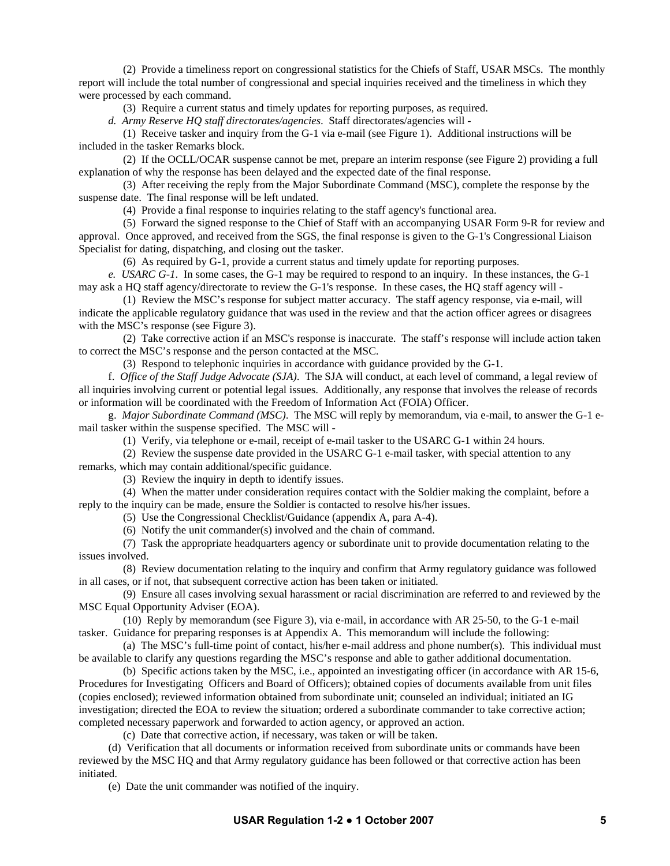(2) Provide a timeliness report on congressional statistics for the Chiefs of Staff, USAR MSCs. The monthly report will include the total number of congressional and special inquiries received and the timeliness in which they were processed by each command.

(3) Require a current status and timely updates for reporting purposes, as required.

 *d. Army Reserve HQ staff directorates/agencies*. Staff directorates/agencies will -

 (1) Receive tasker and inquiry from the G-1 via e-mail (see Figure 1). Additional instructions will be included in the tasker Remarks block.

 (2) If the OCLL/OCAR suspense cannot be met, prepare an interim response (see Figure 2) providing a full explanation of why the response has been delayed and the expected date of the final response.

 (3) After receiving the reply from the Major Subordinate Command (MSC), complete the response by the suspense date. The final response will be left undated.

(4) Provide a final response to inquiries relating to the staff agency's functional area.

 (5) Forward the signed response to the Chief of Staff with an accompanying USAR Form 9-R for review and approval. Once approved, and received from the SGS, the final response is given to the G-1's Congressional Liaison Specialist for dating, dispatching, and closing out the tasker.

(6) As required by G-1, provide a current status and timely update for reporting purposes.

*e. USARC G-1*. In some cases, the G-1 may be required to respond to an inquiry. In these instances, the G-1 may ask a HQ staff agency/directorate to review the G-1's response. In these cases, the HQ staff agency will -

(1) Review the MSC's response for subject matter accuracy. The staff agency response, via e-mail, will indicate the applicable regulatory guidance that was used in the review and that the action officer agrees or disagrees with the MSC's response (see Figure 3).

 (2) Take corrective action if an MSC's response is inaccurate. The staff's response will include action taken to correct the MSC's response and the person contacted at the MSC.

(3) Respond to telephonic inquiries in accordance with guidance provided by the G-1.

 f. *Office of the Staff Judge Advocate (SJA)*. The SJA will conduct, at each level of command, a legal review of all inquiries involving current or potential legal issues. Additionally, any response that involves the release of records or information will be coordinated with the Freedom of Information Act (FOIA) Officer.

 g. *Major Subordinate Command (MSC)*. The MSC will reply by memorandum, via e-mail, to answer the G-1 email tasker within the suspense specified. The MSC will -

(1) Verify, via telephone or e-mail, receipt of e-mail tasker to the USARC G-1 within 24 hours.

 (2) Review the suspense date provided in the USARC G-1 e-mail tasker, with special attention to any remarks, which may contain additional/specific guidance.

(3) Review the inquiry in depth to identify issues.

 (4) When the matter under consideration requires contact with the Soldier making the complaint, before a reply to the inquiry can be made, ensure the Soldier is contacted to resolve his/her issues.

(5) Use the Congressional Checklist/Guidance (appendix A, para A-4).

(6) Notify the unit commander(s) involved and the chain of command.

 (7) Task the appropriate headquarters agency or subordinate unit to provide documentation relating to the issues involved.

 (8) Review documentation relating to the inquiry and confirm that Army regulatory guidance was followed in all cases, or if not, that subsequent corrective action has been taken or initiated.

 (9) Ensure all cases involving sexual harassment or racial discrimination are referred to and reviewed by the MSC Equal Opportunity Adviser (EOA).

 (10) Reply by memorandum (see Figure 3), via e-mail, in accordance with AR 25-50, to the G-1 e-mail tasker. Guidance for preparing responses is at Appendix A. This memorandum will include the following:

 (a) The MSC's full-time point of contact, his/her e-mail address and phone number(s). This individual must be available to clarify any questions regarding the MSC's response and able to gather additional documentation.

 (b) Specific actions taken by the MSC, i.e., appointed an investigating officer (in accordance with AR 15-6, Procedures for Investigating Officers and Board of Officers); obtained copies of documents available from unit files (copies enclosed); reviewed information obtained from subordinate unit; counseled an individual; initiated an IG investigation; directed the EOA to review the situation; ordered a subordinate commander to take corrective action; completed necessary paperwork and forwarded to action agency, or approved an action.

(c) Date that corrective action, if necessary, was taken or will be taken.

 (d) Verification that all documents or information received from subordinate units or commands have been reviewed by the MSC HQ and that Army regulatory guidance has been followed or that corrective action has been initiated.

(e) Date the unit commander was notified of the inquiry.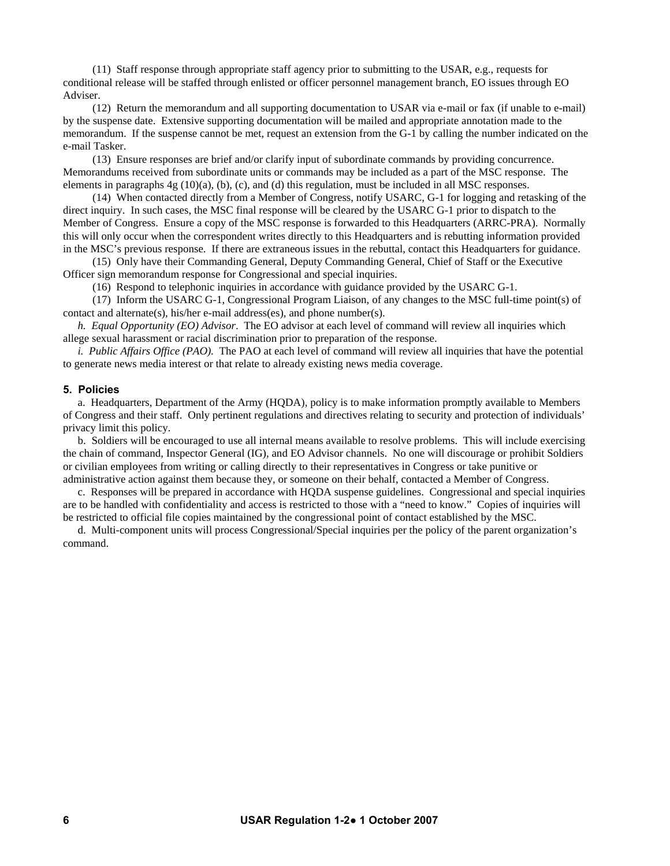(11) Staff response through appropriate staff agency prior to submitting to the USAR, e.g., requests for conditional release will be staffed through enlisted or officer personnel management branch, EO issues through EO Adviser.

 (12) Return the memorandum and all supporting documentation to USAR via e-mail or fax (if unable to e-mail) by the suspense date. Extensive supporting documentation will be mailed and appropriate annotation made to the memorandum. If the suspense cannot be met, request an extension from the G-1 by calling the number indicated on the e-mail Tasker.

 (13) Ensure responses are brief and/or clarify input of subordinate commands by providing concurrence. Memorandums received from subordinate units or commands may be included as a part of the MSC response. The elements in paragraphs  $4g(10)(a)$ , (b), (c), and (d) this regulation, must be included in all MSC responses.

 (14) When contacted directly from a Member of Congress, notify USARC, G-1 for logging and retasking of the direct inquiry. In such cases, the MSC final response will be cleared by the USARC G-1 prior to dispatch to the Member of Congress. Ensure a copy of the MSC response is forwarded to this Headquarters (ARRC-PRA). Normally this will only occur when the correspondent writes directly to this Headquarters and is rebutting information provided in the MSC's previous response. If there are extraneous issues in the rebuttal, contact this Headquarters for guidance.

 (15) Only have their Commanding General, Deputy Commanding General, Chief of Staff or the Executive Officer sign memorandum response for Congressional and special inquiries.

(16) Respond to telephonic inquiries in accordance with guidance provided by the USARC G-1.

 (17) Inform the USARC G-1, Congressional Program Liaison, of any changes to the MSC full-time point(s) of contact and alternate(s), his/her e-mail address(es), and phone number(s).

*h. Equal Opportunity (EO) Advisor*. The EO advisor at each level of command will review all inquiries which allege sexual harassment or racial discrimination prior to preparation of the response.

*i. Public Affairs Office (PAO)*. The PAO at each level of command will review all inquiries that have the potential to generate news media interest or that relate to already existing news media coverage.

#### **5. Policies**

 a. Headquarters, Department of the Army (HQDA), policy is to make information promptly available to Members of Congress and their staff. Only pertinent regulations and directives relating to security and protection of individuals' privacy limit this policy.

 b. Soldiers will be encouraged to use all internal means available to resolve problems. This will include exercising the chain of command, Inspector General (IG), and EO Advisor channels. No one will discourage or prohibit Soldiers or civilian employees from writing or calling directly to their representatives in Congress or take punitive or administrative action against them because they, or someone on their behalf, contacted a Member of Congress.

 c. Responses will be prepared in accordance with HQDA suspense guidelines. Congressional and special inquiries are to be handled with confidentiality and access is restricted to those with a "need to know." Copies of inquiries will be restricted to official file copies maintained by the congressional point of contact established by the MSC.

 d. Multi-component units will process Congressional/Special inquiries per the policy of the parent organization's command.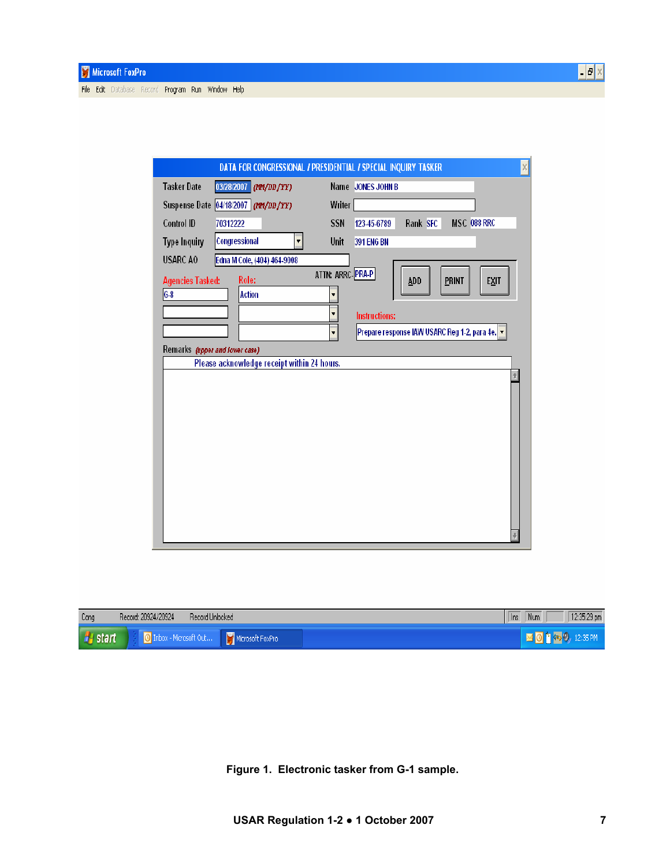| <b>Tasker Date</b>      | 03/28/2007 (MM/DD/YY)                 |                  | Name JONES JOHN B                              |
|-------------------------|---------------------------------------|------------------|------------------------------------------------|
|                         | Suspense Date 04/18/2007 (MA/DD/YY)   | Writer           |                                                |
| Control ID              | 70312222                              | SSN              | MSC 088 RRC<br>Rank SFC<br>123-45-6789         |
| <b>Type Inquiry</b>     | Congressional<br>$\blacktriangledown$ | Unit             | <b>391 ENG BN</b>                              |
| USARC AO                | Edna M Cole, (404) 464-9008           |                  |                                                |
| <b>Agencies Tasked:</b> | Role:                                 | ATTN: ARRC-PRA-P | PRINT<br>ADD<br>EXIT                           |
| $6-8$                   | <b>Action</b>                         |                  |                                                |
|                         |                                       | ▼                | <b>Instructions:</b>                           |
|                         |                                       | ▼                | Prepare response IAW USARC Reg 1-2, para 4e. v |
|                         |                                       |                  |                                                |

| Cong           | Record: 20924/20924<br>Record Unlocked |                  |  | Num<br>$\ln s$ | 12:35:29 pm |
|----------------|----------------------------------------|------------------|--|----------------|-------------|
| <b>H</b> start | <sup>1</sup> Inbox - Microsoft Out     | Microsoft FoxPro |  | 41             |             |

**Figure 1. Electronic tasker from G-1 sample.**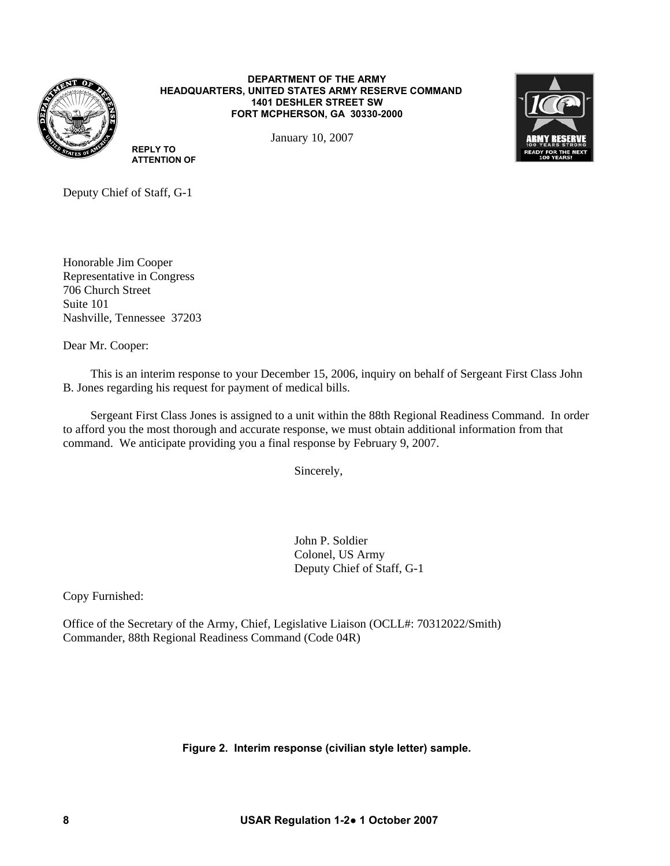

#### **DEPARTMENT OF THE ARMY HEADQUARTERS, UNITED STATES ARMY RESERVE COMMAND 1401 DESHLER STREET SW FORT MCPHERSON, GA 30330-2000**

January 10, 2007



Deputy Chief of Staff, G-1

**REPLY TO ATTENTION OF**

Honorable Jim Cooper Representative in Congress 706 Church Street Suite 101 Nashville, Tennessee 37203

Dear Mr. Cooper:

 This is an interim response to your December 15, 2006, inquiry on behalf of Sergeant First Class John B. Jones regarding his request for payment of medical bills.

 Sergeant First Class Jones is assigned to a unit within the 88th Regional Readiness Command. In order to afford you the most thorough and accurate response, we must obtain additional information from that command. We anticipate providing you a final response by February 9, 2007.

Sincerely,

John P. Soldier Colonel, US Army Deputy Chief of Staff, G-1

Copy Furnished:

Office of the Secretary of the Army, Chief, Legislative Liaison (OCLL#: 70312022/Smith) Commander, 88th Regional Readiness Command (Code 04R)

**Figure 2. Interim response (civilian style letter) sample.**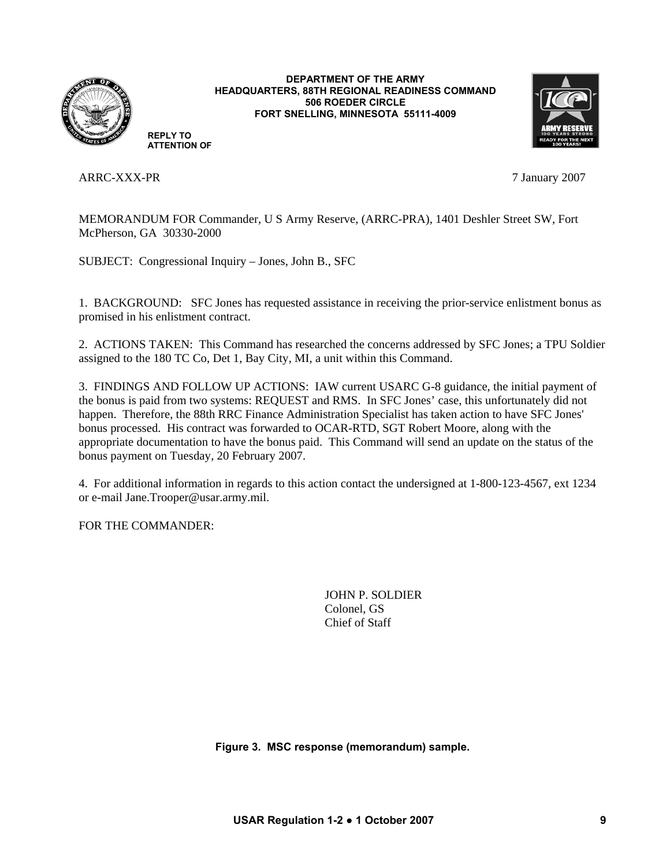

**DEPARTMENT OF THE ARMY HEADQUARTERS, 88TH REGIONAL READINESS COMMAND 506 ROEDER CIRCLE FORT SNELLING, MINNESOTA 55111-4009** 



**REPLY TO ATTENTION OF**

ARRC-XXX-PR 7 January 2007

MEMORANDUM FOR Commander, U S Army Reserve, (ARRC-PRA), 1401 Deshler Street SW, Fort McPherson, GA 30330-2000

SUBJECT: Congressional Inquiry – Jones, John B., SFC

1. BACKGROUND: SFC Jones has requested assistance in receiving the prior-service enlistment bonus as promised in his enlistment contract.

2. ACTIONS TAKEN: This Command has researched the concerns addressed by SFC Jones; a TPU Soldier assigned to the 180 TC Co, Det 1, Bay City, MI, a unit within this Command.

3. FINDINGS AND FOLLOW UP ACTIONS: IAW current USARC G-8 guidance, the initial payment of the bonus is paid from two systems: REQUEST and RMS. In SFC Jones' case, this unfortunately did not happen. Therefore, the 88th RRC Finance Administration Specialist has taken action to have SFC Jones' bonus processed. His contract was forwarded to OCAR-RTD, SGT Robert Moore, along with the appropriate documentation to have the bonus paid. This Command will send an update on the status of the bonus payment on Tuesday, 20 February 2007.

4. For additional information in regards to this action contact the undersigned at 1-800-123-4567, ext 1234 or e-mail Jane.Trooper@usar.army.mil.

FOR THE COMMANDER:

 JOHN P. SOLDIER Colonel, GS Chief of Staff

**Figure 3. MSC response (memorandum) sample.**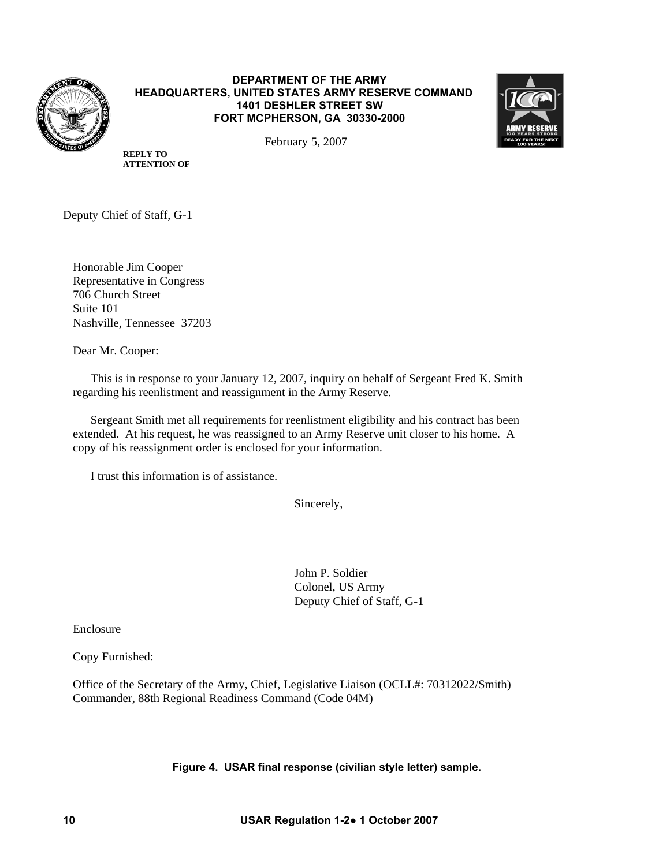

# **DEPARTMENT OF THE ARMY HEADQUARTERS, UNITED STATES ARMY RESERVE COMMAND 1401 DESHLER STREET SW FORT MCPHERSON, GA 30330-2000**



February 5, 2007

**REPLY TO ATTENTION OF**

Deputy Chief of Staff, G-1

 Honorable Jim Cooper Representative in Congress 706 Church Street Suite 101 Nashville, Tennessee 37203

Dear Mr. Cooper:

 This is in response to your January 12, 2007, inquiry on behalf of Sergeant Fred K. Smith regarding his reenlistment and reassignment in the Army Reserve.

 Sergeant Smith met all requirements for reenlistment eligibility and his contract has been extended. At his request, he was reassigned to an Army Reserve unit closer to his home. A copy of his reassignment order is enclosed for your information.

I trust this information is of assistance.

Sincerely,

John P. Soldier Colonel, US Army Deputy Chief of Staff, G-1

Enclosure

Copy Furnished:

 Office of the Secretary of the Army, Chief, Legislative Liaison (OCLL#: 70312022/Smith) Commander, 88th Regional Readiness Command (Code 04M)

# **Figure 4. USAR final response (civilian style letter) sample.**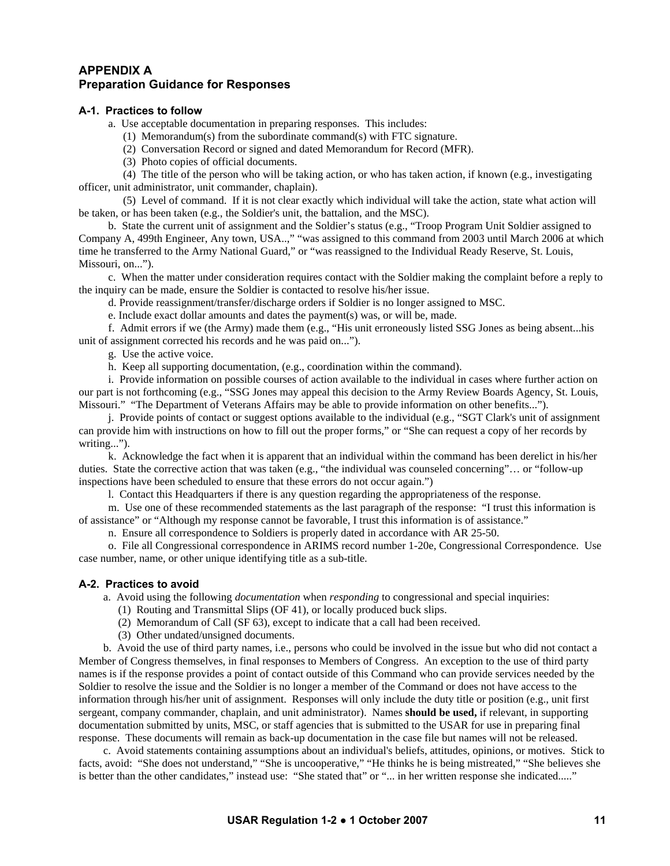# **APPENDIX A Preparation Guidance for Responses**

# **A-1. Practices to follow**

a. Use acceptable documentation in preparing responses. This includes:

(1) Memorandum(s) from the subordinate command(s) with FTC signature.

(2) Conversation Record or signed and dated Memorandum for Record (MFR).

(3) Photo copies of official documents.

 (4) The title of the person who will be taking action, or who has taken action, if known (e.g., investigating officer, unit administrator, unit commander, chaplain).

 (5) Level of command. If it is not clear exactly which individual will take the action, state what action will be taken, or has been taken (e.g., the Soldier's unit, the battalion, and the MSC).

 b. State the current unit of assignment and the Soldier's status (e.g., "Troop Program Unit Soldier assigned to Company A, 499th Engineer, Any town, USA..," "was assigned to this command from 2003 until March 2006 at which time he transferred to the Army National Guard," or "was reassigned to the Individual Ready Reserve, St. Louis, Missouri, on...").

 c. When the matter under consideration requires contact with the Soldier making the complaint before a reply to the inquiry can be made, ensure the Soldier is contacted to resolve his/her issue.

d. Provide reassignment/transfer/discharge orders if Soldier is no longer assigned to MSC.

e. Include exact dollar amounts and dates the payment(s) was, or will be, made.

 f. Admit errors if we (the Army) made them (e.g., "His unit erroneously listed SSG Jones as being absent...his unit of assignment corrected his records and he was paid on...").

g. Use the active voice.

h. Keep all supporting documentation, (e.g., coordination within the command).

 i. Provide information on possible courses of action available to the individual in cases where further action on our part is not forthcoming (e.g., "SSG Jones may appeal this decision to the Army Review Boards Agency, St. Louis, Missouri." "The Department of Veterans Affairs may be able to provide information on other benefits...").

 j. Provide points of contact or suggest options available to the individual (e.g., "SGT Clark's unit of assignment can provide him with instructions on how to fill out the proper forms," or "She can request a copy of her records by writing...").

 k. Acknowledge the fact when it is apparent that an individual within the command has been derelict in his/her duties. State the corrective action that was taken (e.g., "the individual was counseled concerning"… or "follow-up inspections have been scheduled to ensure that these errors do not occur again.")

l. Contact this Headquarters if there is any question regarding the appropriateness of the response.

 m. Use one of these recommended statements as the last paragraph of the response: "I trust this information is of assistance" or "Although my response cannot be favorable, I trust this information is of assistance."

n. Ensure all correspondence to Soldiers is properly dated in accordance with AR 25-50.

 o. File all Congressional correspondence in ARIMS record number 1-20e, Congressional Correspondence. Use case number, name, or other unique identifying title as a sub-title.

#### **A-2. Practices to avoid**

a. Avoid using the following *documentation* when *responding* to congressional and special inquiries:

- (1) Routing and Transmittal Slips (OF 41), or locally produced buck slips.
- (2) Memorandum of Call (SF 63), except to indicate that a call had been received.
- (3) Other undated/unsigned documents.

 b. Avoid the use of third party names, i.e., persons who could be involved in the issue but who did not contact a Member of Congress themselves, in final responses to Members of Congress. An exception to the use of third party names is if the response provides a point of contact outside of this Command who can provide services needed by the Soldier to resolve the issue and the Soldier is no longer a member of the Command or does not have access to the information through his/her unit of assignment. Responses will only include the duty title or position (e.g., unit first sergeant, company commander, chaplain, and unit administrator). Names **should be used,** if relevant, in supporting documentation submitted by units, MSC, or staff agencies that is submitted to the USAR for use in preparing final response. These documents will remain as back-up documentation in the case file but names will not be released.

 c. Avoid statements containing assumptions about an individual's beliefs, attitudes, opinions, or motives. Stick to facts, avoid: "She does not understand," "She is uncooperative," "He thinks he is being mistreated," "She believes she is better than the other candidates," instead use: "She stated that" or "... in her written response she indicated....."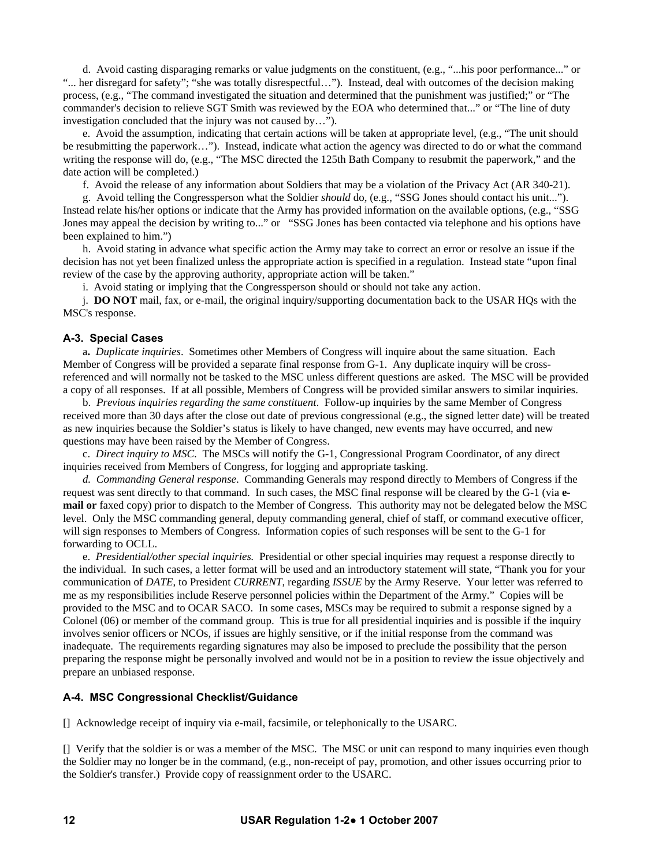d. Avoid casting disparaging remarks or value judgments on the constituent, (e.g., "...his poor performance..." or "... her disregard for safety"; "she was totally disrespectful…"). Instead, deal with outcomes of the decision making process, (e.g., "The command investigated the situation and determined that the punishment was justified;" or "The commander's decision to relieve SGT Smith was reviewed by the EOA who determined that..." or "The line of duty investigation concluded that the injury was not caused by…").

 e. Avoid the assumption, indicating that certain actions will be taken at appropriate level, (e.g., "The unit should be resubmitting the paperwork…"). Instead, indicate what action the agency was directed to do or what the command writing the response will do, (e.g., "The MSC directed the 125th Bath Company to resubmit the paperwork," and the date action will be completed.)

f. Avoid the release of any information about Soldiers that may be a violation of the Privacy Act (AR 340-21).

 g. Avoid telling the Congressperson what the Soldier *should* do, (e.g., "SSG Jones should contact his unit..."). Instead relate his/her options or indicate that the Army has provided information on the available options, (e.g., "SSG Jones may appeal the decision by writing to..." or "SSG Jones has been contacted via telephone and his options have been explained to him.")

 h. Avoid stating in advance what specific action the Army may take to correct an error or resolve an issue if the decision has not yet been finalized unless the appropriate action is specified in a regulation. Instead state "upon final review of the case by the approving authority, appropriate action will be taken."

i. Avoid stating or implying that the Congressperson should or should not take any action.

j. **DO NOT** mail, fax, or e-mail, the original inquiry/supporting documentation back to the USAR HQs with the MSC's response.

#### **A-3. Special Cases**

 a**.** *Duplicate inquiries*. Sometimes other Members of Congress will inquire about the same situation. Each Member of Congress will be provided a separate final response from G-1. Any duplicate inquiry will be crossreferenced and will normally not be tasked to the MSC unless different questions are asked. The MSC will be provided a copy of all responses. If at all possible, Members of Congress will be provided similar answers to similar inquiries.

 b. *Previous inquiries regarding the same constituent*. Follow-up inquiries by the same Member of Congress received more than 30 days after the close out date of previous congressional (e.g., the signed letter date) will be treated as new inquiries because the Soldier's status is likely to have changed, new events may have occurred, and new questions may have been raised by the Member of Congress.

 c. *Direct inquiry to MSC*. The MSCs will notify the G-1, Congressional Program Coordinator, of any direct inquiries received from Members of Congress, for logging and appropriate tasking.

*d. Commanding General response*. Commanding Generals may respond directly to Members of Congress if the request was sent directly to that command. In such cases, the MSC final response will be cleared by the G-1 (via **email or** faxed copy) prior to dispatch to the Member of Congress. This authority may not be delegated below the MSC level. Only the MSC commanding general, deputy commanding general, chief of staff, or command executive officer, will sign responses to Members of Congress. Information copies of such responses will be sent to the G-1 for forwarding to OCLL.

 e. *Presidential/other special inquiries.* Presidential or other special inquiries may request a response directly to the individual. In such cases, a letter format will be used and an introductory statement will state, "Thank you for your communication of *DATE*, to President *CURRENT*, regarding *ISSUE* by the Army Reserve. Your letter was referred to me as my responsibilities include Reserve personnel policies within the Department of the Army." Copies will be provided to the MSC and to OCAR SACO. In some cases, MSCs may be required to submit a response signed by a Colonel (06) or member of the command group. This is true for all presidential inquiries and is possible if the inquiry involves senior officers or NCOs, if issues are highly sensitive, or if the initial response from the command was inadequate. The requirements regarding signatures may also be imposed to preclude the possibility that the person preparing the response might be personally involved and would not be in a position to review the issue objectively and prepare an unbiased response.

#### **A-4. MSC Congressional Checklist/Guidance**

[] Acknowledge receipt of inquiry via e-mail, facsimile, or telephonically to the USARC.

[] Verify that the soldier is or was a member of the MSC. The MSC or unit can respond to many inquiries even though the Soldier may no longer be in the command, (e.g., non-receipt of pay, promotion, and other issues occurring prior to the Soldier's transfer.) Provide copy of reassignment order to the USARC.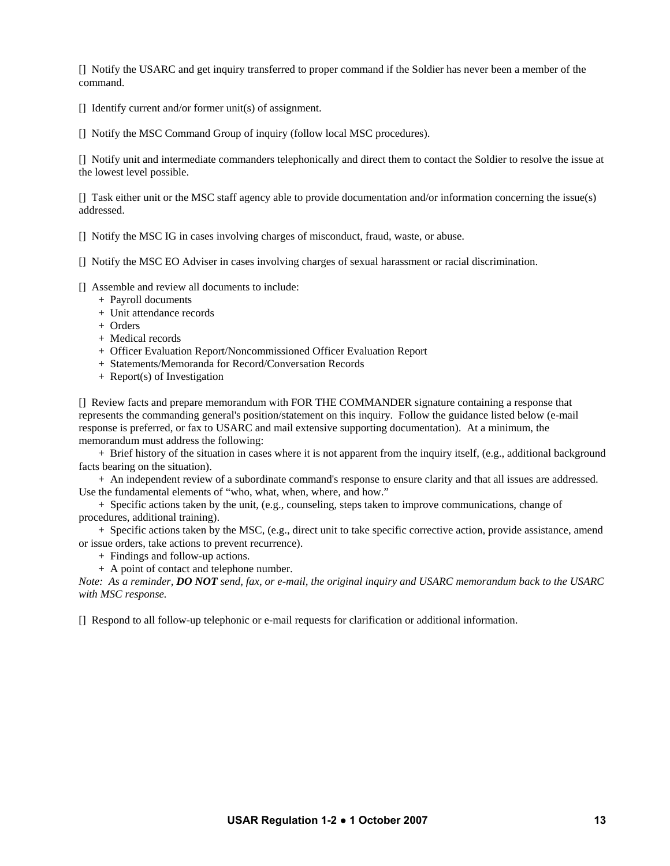[] Notify the USARC and get inquiry transferred to proper command if the Soldier has never been a member of the command.

[] Identify current and/or former unit(s) of assignment.

[] Notify the MSC Command Group of inquiry (follow local MSC procedures).

[] Notify unit and intermediate commanders telephonically and direct them to contact the Soldier to resolve the issue at the lowest level possible.

[] Task either unit or the MSC staff agency able to provide documentation and/or information concerning the issue(s) addressed.

[] Notify the MSC IG in cases involving charges of misconduct, fraud, waste, or abuse.

[] Notify the MSC EO Adviser in cases involving charges of sexual harassment or racial discrimination.

[] Assemble and review all documents to include:

- + Payroll documents
- + Unit attendance records
- + Orders
- + Medical records
- + Officer Evaluation Report/Noncommissioned Officer Evaluation Report
- + Statements/Memoranda for Record/Conversation Records
- + Report(s) of Investigation

[] Review facts and prepare memorandum with FOR THE COMMANDER signature containing a response that represents the commanding general's position/statement on this inquiry. Follow the guidance listed below (e-mail response is preferred, or fax to USARC and mail extensive supporting documentation). At a minimum, the memorandum must address the following:

 + Brief history of the situation in cases where it is not apparent from the inquiry itself, (e.g., additional background facts bearing on the situation).

 + An independent review of a subordinate command's response to ensure clarity and that all issues are addressed. Use the fundamental elements of "who, what, when, where, and how."

 + Specific actions taken by the unit, (e.g., counseling, steps taken to improve communications, change of procedures, additional training).

 + Specific actions taken by the MSC, (e.g., direct unit to take specific corrective action, provide assistance, amend or issue orders, take actions to prevent recurrence).

+ Findings and follow-up actions.

+ A point of contact and telephone number.

*Note: As a reminder, DO NOT send, fax, or e-mail, the original inquiry and USARC memorandum back to the USARC with MSC response.* 

[] Respond to all follow-up telephonic or e-mail requests for clarification or additional information.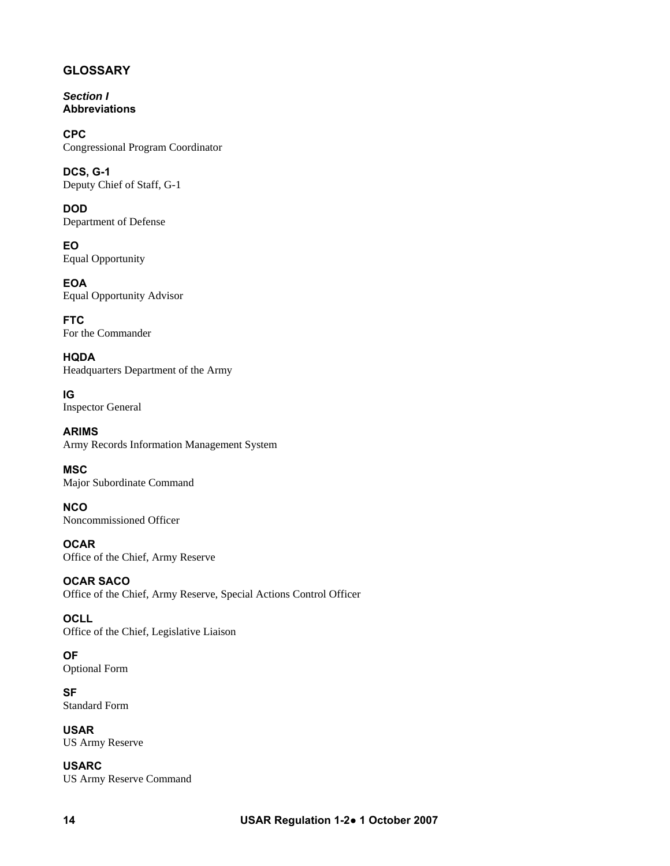# **GLOSSARY**

*Section I*  **Abbreviations** 

**CPC**  Congressional Program Coordinator

**DCS, G-1**  Deputy Chief of Staff, G-1

**DOD**  Department of Defense

**EO**  Equal Opportunity

**EOA**  Equal Opportunity Advisor

**FTC**  For the Commander

**HQDA**  Headquarters Department of the Army

**IG**  Inspector General

**ARIMS**  Army Records Information Management System

**MSC**  Major Subordinate Command

**NCO**  Noncommissioned Officer

**OCAR**  Office of the Chief, Army Reserve

**OCAR SACO**  Office of the Chief, Army Reserve, Special Actions Control Officer

**OCLL**  Office of the Chief, Legislative Liaison

**OF**  Optional Form

**SF**  Standard Form

**USAR**  US Army Reserve

**USARC**  US Army Reserve Command